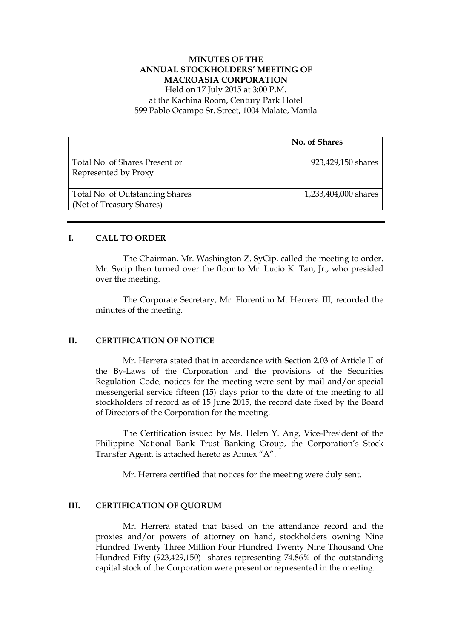# **MINUTES OF THE ANNUAL STOCKHOLDERS' MEETING OF MACROASIA CORPORATION**

Held on 17 July 2015 at 3:00 P.M. at the Kachina Room, Century Park Hotel 599 Pablo Ocampo Sr. Street, 1004 Malate, Manila

|                                                             | No. of Shares        |
|-------------------------------------------------------------|----------------------|
| Total No. of Shares Present or<br>Represented by Proxy      | 923,429,150 shares   |
| Total No. of Outstanding Shares<br>(Net of Treasury Shares) | 1,233,404,000 shares |

# **I. CALL TO ORDER**

The Chairman, Mr. Washington Z. SyCip, called the meeting to order. Mr. Sycip then turned over the floor to Mr. Lucio K. Tan, Jr., who presided over the meeting.

The Corporate Secretary, Mr. Florentino M. Herrera III, recorded the minutes of the meeting.

# **II. CERTIFICATION OF NOTICE**

Mr. Herrera stated that in accordance with Section 2.03 of Article II of the By-Laws of the Corporation and the provisions of the Securities Regulation Code, notices for the meeting were sent by mail and/or special messengerial service fifteen (15) days prior to the date of the meeting to all stockholders of record as of 15 June 2015, the record date fixed by the Board of Directors of the Corporation for the meeting.

The Certification issued by Ms. Helen Y. Ang, Vice-President of the Philippine National Bank Trust Banking Group, the Corporation's Stock Transfer Agent, is attached hereto as Annex "A".

Mr. Herrera certified that notices for the meeting were duly sent.

#### **III. CERTIFICATION OF QUORUM**

Mr. Herrera stated that based on the attendance record and the proxies and/or powers of attorney on hand, stockholders owning Nine Hundred Twenty Three Million Four Hundred Twenty Nine Thousand One Hundred Fifty (923,429,150) shares representing 74.86% of the outstanding capital stock of the Corporation were present or represented in the meeting.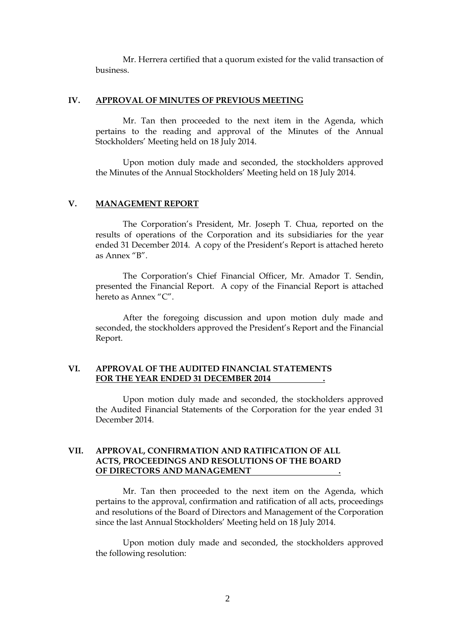Mr. Herrera certified that a quorum existed for the valid transaction of business.

#### **IV. APPROVAL OF MINUTES OF PREVIOUS MEETING**

Mr. Tan then proceeded to the next item in the Agenda, which pertains to the reading and approval of the Minutes of the Annual Stockholders' Meeting held on 18 July 2014.

Upon motion duly made and seconded, the stockholders approved the Minutes of the Annual Stockholders' Meeting held on 18 July 2014.

#### **V. MANAGEMENT REPORT**

The Corporation's President, Mr. Joseph T. Chua, reported on the results of operations of the Corporation and its subsidiaries for the year ended 31 December 2014. A copy of the President's Report is attached hereto as Annex "B".

The Corporation's Chief Financial Officer, Mr. Amador T. Sendin, presented the Financial Report. A copy of the Financial Report is attached hereto as Annex "C".

 After the foregoing discussion and upon motion duly made and seconded, the stockholders approved the President's Report and the Financial Report.

#### **VI. APPROVAL OF THE AUDITED FINANCIAL STATEMENTS FOR THE YEAR ENDED 31 DECEMBER 2014 .**

Upon motion duly made and seconded, the stockholders approved the Audited Financial Statements of the Corporation for the year ended 31 December 2014.

### **VII. APPROVAL, CONFIRMATION AND RATIFICATION OF ALL ACTS, PROCEEDINGS AND RESOLUTIONS OF THE BOARD OF DIRECTORS AND MANAGEMENT .**

Mr. Tan then proceeded to the next item on the Agenda, which pertains to the approval, confirmation and ratification of all acts, proceedings and resolutions of the Board of Directors and Management of the Corporation since the last Annual Stockholders' Meeting held on 18 July 2014.

Upon motion duly made and seconded, the stockholders approved the following resolution: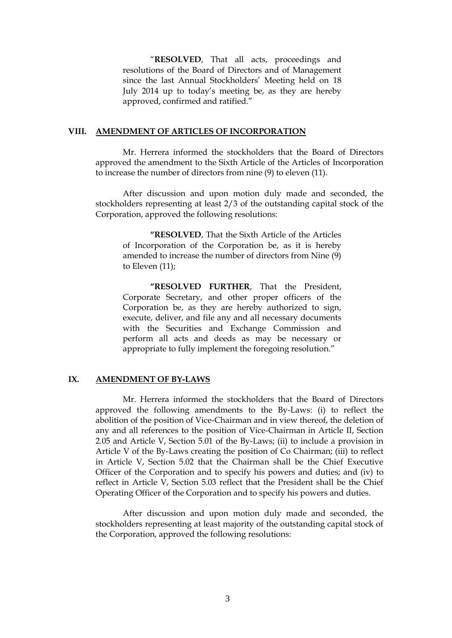"**RESOLVED**, That all acts, proceedings and resolutions of the Board of Directors and of Management since the last Annual Stockholders' Meeting held on 18 July 2014 up to today's meeting be, as they are hereby approved, confirmed and ratified."

#### **VIII. AMENDMENT OF ARTICLES OF INCORPORATION**

Mr. Herrera informed the stockholders that the Board of Directors approved the amendment to the Sixth Article of the Articles of Incorporation to increase the number of directors from nine (9) to eleven (11).

After discussion and upon motion duly made and seconded, the stockholders representing at least 2/3 of the outstanding capital stock of the Corporation, approved the following resolutions:

**"RESOLVED**, That the Sixth Article of the Articles of Incorporation of the Corporation be, as it is hereby amended to increase the number of directors from Nine (9) to Eleven (11);

**"RESOLVED FURTHER**, That the President, Corporate Secretary, and other proper officers of the Corporation be, as they are hereby authorized to sign, execute, deliver, and file any and all necessary documents with the Securities and Exchange Commission and perform all acts and deeds as may be necessary or appropriate to fully implement the foregoing resolution."

#### **IX. AMENDMENT OF BY-LAWS**

Mr. Herrera informed the stockholders that the Board of Directors approved the following amendments to the By-Laws: (i) to reflect the abolition of the position of Vice-Chairman and in view thereof, the deletion of any and all references to the position of Vice-Chairman in Article II, Section 2.05 and Article V, Section 5.01 of the By-Laws; (ii) to include a provision in Article V of the By-Laws creating the position of Co Chairman; (iii) to reflect in Article V, Section 5.02 that the Chairman shall be the Chief Executive Officer of the Corporation and to specify his powers and duties; and (iv) to reflect in Article V, Section 5.03 reflect that the President shall be the Chief Operating Officer of the Corporation and to specify his powers and duties.

After discussion and upon motion duly made and seconded, the stockholders representing at least majority of the outstanding capital stock of the Corporation, approved the following resolutions: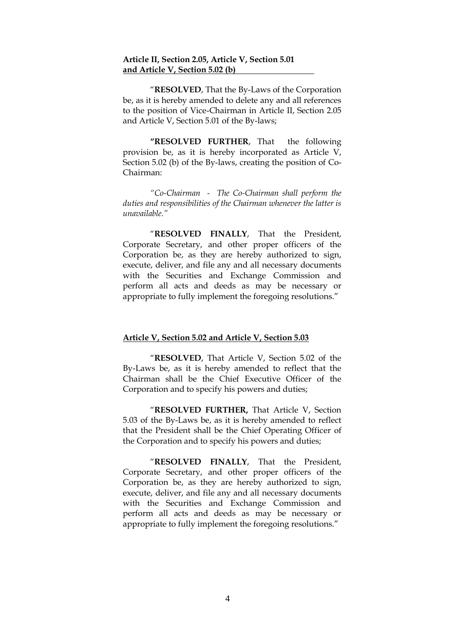#### **Article II, Section 2.05, Article V, Section 5.01 and Article V, Section 5.02 (b)**

"**RESOLVED**, That the By-Laws of the Corporation be, as it is hereby amended to delete any and all references to the position of Vice-Chairman in Article II, Section 2.05 and Article V, Section 5.01 of the By-laws;

**"RESOLVED FURTHER**, That the following provision be, as it is hereby incorporated as Article V, Section 5.02 (b) of the By-laws, creating the position of Co-Chairman:

*"Co-Chairman - The Co-Chairman shall perform the duties and responsibilities of the Chairman whenever the latter is unavailable."*

"**RESOLVED FINALLY**, That the President, Corporate Secretary, and other proper officers of the Corporation be, as they are hereby authorized to sign, execute, deliver, and file any and all necessary documents with the Securities and Exchange Commission and perform all acts and deeds as may be necessary or appropriate to fully implement the foregoing resolutions."

## **Article V, Section 5.02 and Article V, Section 5.03**

"**RESOLVED**, That Article V, Section 5.02 of the By-Laws be, as it is hereby amended to reflect that the Chairman shall be the Chief Executive Officer of the Corporation and to specify his powers and duties;

"**RESOLVED FURTHER,** That Article V, Section 5.03 of the By-Laws be, as it is hereby amended to reflect that the President shall be the Chief Operating Officer of the Corporation and to specify his powers and duties;

"**RESOLVED FINALLY**, That the President, Corporate Secretary, and other proper officers of the Corporation be, as they are hereby authorized to sign, execute, deliver, and file any and all necessary documents with the Securities and Exchange Commission and perform all acts and deeds as may be necessary or appropriate to fully implement the foregoing resolutions."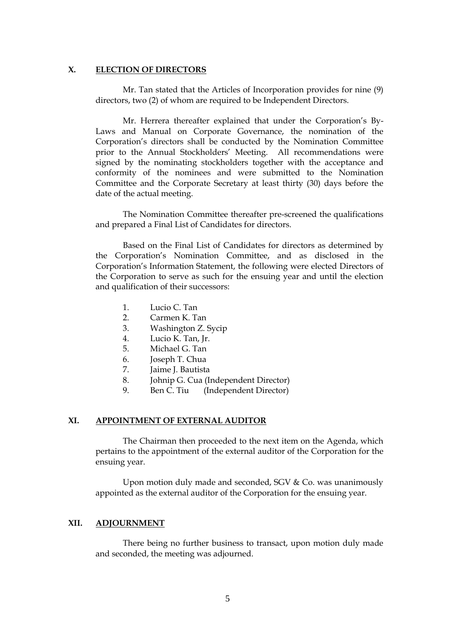#### **X. ELECTION OF DIRECTORS**

Mr. Tan stated that the Articles of Incorporation provides for nine (9) directors, two (2) of whom are required to be Independent Directors.

Mr. Herrera thereafter explained that under the Corporation's By-Laws and Manual on Corporate Governance, the nomination of the Corporation's directors shall be conducted by the Nomination Committee prior to the Annual Stockholders' Meeting. All recommendations were signed by the nominating stockholders together with the acceptance and conformity of the nominees and were submitted to the Nomination Committee and the Corporate Secretary at least thirty (30) days before the date of the actual meeting.

The Nomination Committee thereafter pre-screened the qualifications and prepared a Final List of Candidates for directors.

Based on the Final List of Candidates for directors as determined by the Corporation's Nomination Committee, and as disclosed in the Corporation's Information Statement, the following were elected Directors of the Corporation to serve as such for the ensuing year and until the election and qualification of their successors:

- 1. Lucio C. Tan
- 2. Carmen K. Tan
- 3. Washington Z. Sycip
- 4. Lucio K. Tan, Jr.
- 5. Michael G. Tan
- 6. Joseph T. Chua
- 7. Jaime J. Bautista
- 8. Johnip G. Cua (Independent Director)
- 9. Ben C. Tiu (Independent Director)

#### **XI. APPOINTMENT OF EXTERNAL AUDITOR**

The Chairman then proceeded to the next item on the Agenda, which pertains to the appointment of the external auditor of the Corporation for the ensuing year.

Upon motion duly made and seconded, SGV & Co. was unanimously appointed as the external auditor of the Corporation for the ensuing year.

#### **XII. ADJOURNMENT**

There being no further business to transact, upon motion duly made and seconded, the meeting was adjourned.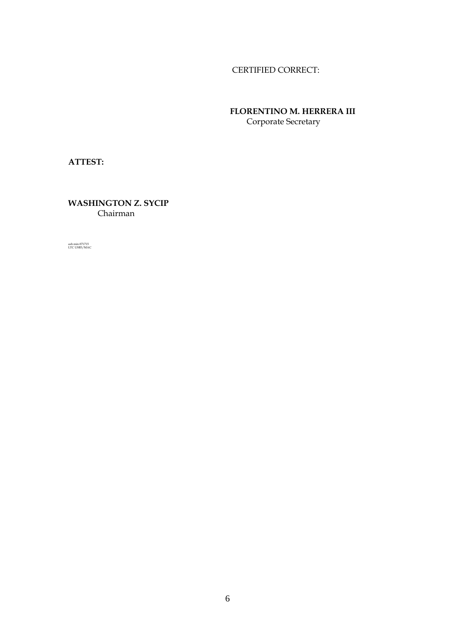# CERTIFIED CORRECT:

 **FLORENTINO M. HERRERA III** Corporate Secretary

**ATTEST:**

**WASHINGTON Z. SYCIP** Chairman

ash min 071715 LTC USB3/MAC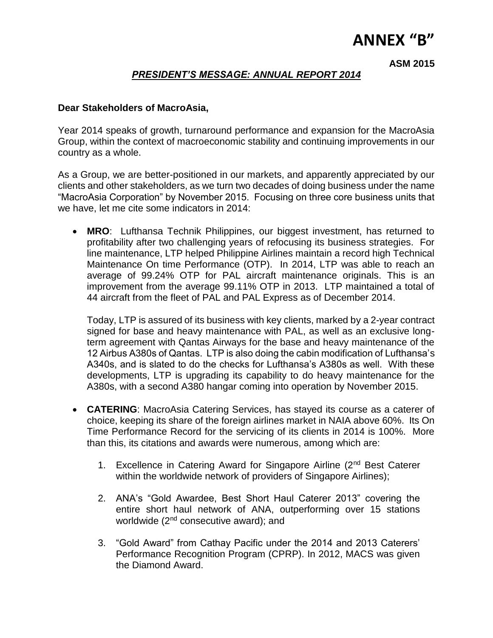# **ANNEX "B"**

**ASM 2015**

# *PRESIDENT'S MESSAGE: ANNUAL REPORT 2014*

# **Dear Stakeholders of MacroAsia,**

Year 2014 speaks of growth, turnaround performance and expansion for the MacroAsia Group, within the context of macroeconomic stability and continuing improvements in our country as a whole.

As a Group, we are better-positioned in our markets, and apparently appreciated by our clients and other stakeholders, as we turn two decades of doing business under the name "MacroAsia Corporation" by November 2015. Focusing on three core business units that we have, let me cite some indicators in 2014:

 **MRO**: Lufthansa Technik Philippines, our biggest investment, has returned to profitability after two challenging years of refocusing its business strategies. For line maintenance, LTP helped Philippine Airlines maintain a record high Technical Maintenance On time Performance (OTP). In 2014, LTP was able to reach an average of 99.24% OTP for PAL aircraft maintenance originals. This is an improvement from the average 99.11% OTP in 2013. LTP maintained a total of 44 aircraft from the fleet of PAL and PAL Express as of December 2014.

Today, LTP is assured of its business with key clients, marked by a 2-year contract signed for base and heavy maintenance with PAL, as well as an exclusive longterm agreement with Qantas Airways for the base and heavy maintenance of the 12 Airbus A380s of Qantas. LTP is also doing the cabin modification of Lufthansa's A340s, and is slated to do the checks for Lufthansa's A380s as well. With these developments, LTP is upgrading its capability to do heavy maintenance for the A380s, with a second A380 hangar coming into operation by November 2015.

- **CATERING**: MacroAsia Catering Services, has stayed its course as a caterer of choice, keeping its share of the foreign airlines market in NAIA above 60%. Its On Time Performance Record for the servicing of its clients in 2014 is 100%. More than this, its citations and awards were numerous, among which are:
	- 1. Excellence in Catering Award for Singapore Airline (2<sup>nd</sup> Best Caterer within the worldwide network of providers of Singapore Airlines);
	- 2. ANA's "Gold Awardee, Best Short Haul Caterer 2013" covering the entire short haul network of ANA, outperforming over 15 stations worldwide (2<sup>nd</sup> consecutive award); and
	- 3. "Gold Award" from Cathay Pacific under the 2014 and 2013 Caterers' Performance Recognition Program (CPRP). In 2012, MACS was given the Diamond Award.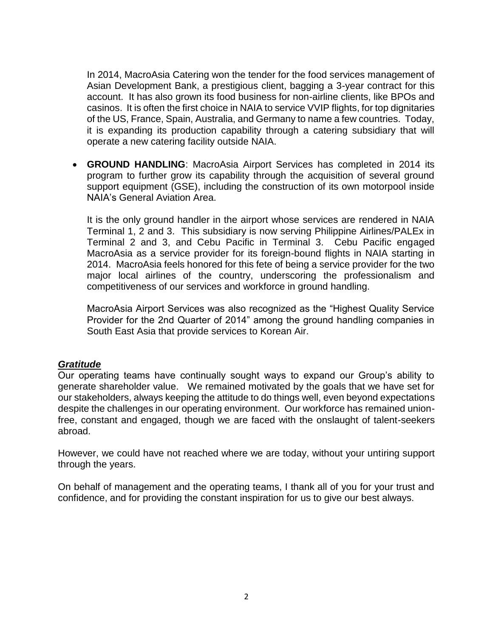In 2014, MacroAsia Catering won the tender for the food services management of Asian Development Bank, a prestigious client, bagging a 3-year contract for this account. It has also grown its food business for non-airline clients, like BPOs and casinos. It is often the first choice in NAIA to service VVIP flights, for top dignitaries of the US, France, Spain, Australia, and Germany to name a few countries. Today, it is expanding its production capability through a catering subsidiary that will operate a new catering facility outside NAIA.

 **GROUND HANDLING**: MacroAsia Airport Services has completed in 2014 its program to further grow its capability through the acquisition of several ground support equipment (GSE), including the construction of its own motorpool inside NAIA's General Aviation Area.

It is the only ground handler in the airport whose services are rendered in NAIA Terminal 1, 2 and 3. This subsidiary is now serving Philippine Airlines/PALEx in Terminal 2 and 3, and Cebu Pacific in Terminal 3. Cebu Pacific engaged MacroAsia as a service provider for its foreign-bound flights in NAIA starting in 2014. MacroAsia feels honored for this fete of being a service provider for the two major local airlines of the country, underscoring the professionalism and competitiveness of our services and workforce in ground handling.

MacroAsia Airport Services was also recognized as the "Highest Quality Service Provider for the 2nd Quarter of 2014" among the ground handling companies in South East Asia that provide services to Korean Air.

# *Gratitude*

Our operating teams have continually sought ways to expand our Group's ability to generate shareholder value. We remained motivated by the goals that we have set for our stakeholders, always keeping the attitude to do things well, even beyond expectations despite the challenges in our operating environment. Our workforce has remained unionfree, constant and engaged, though we are faced with the onslaught of talent-seekers abroad.

However, we could have not reached where we are today, without your untiring support through the years.

On behalf of management and the operating teams, I thank all of you for your trust and confidence, and for providing the constant inspiration for us to give our best always.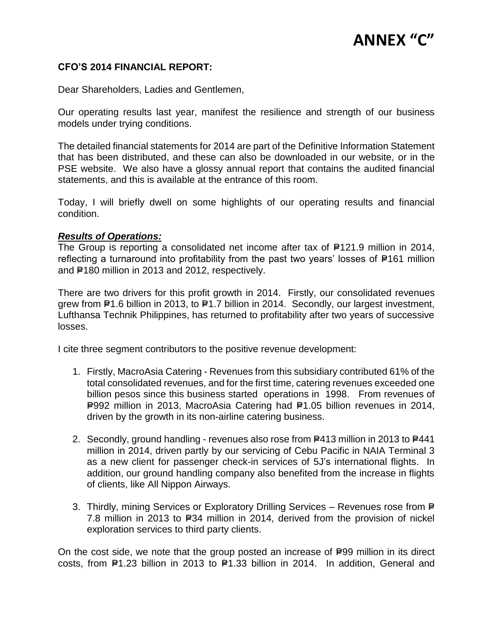# **ANNEX "C"**

## **CFO'S 2014 FINANCIAL REPORT:**

Dear Shareholders, Ladies and Gentlemen,

Our operating results last year, manifest the resilience and strength of our business models under trying conditions.

The detailed financial statements for 2014 are part of the Definitive Information Statement that has been distributed, and these can also be downloaded in our website, or in the PSE website. We also have a glossy annual report that contains the audited financial statements, and this is available at the entrance of this room.

Today, I will briefly dwell on some highlights of our operating results and financial condition.

# *Results of Operations:*

The Group is reporting a consolidated net income after tax of P121.9 million in 2014, reflecting a turnaround into profitability from the past two years' losses of P161 million and P180 million in 2013 and 2012, respectively.

There are two drivers for this profit growth in 2014. Firstly, our consolidated revenues grew from P1.6 billion in 2013, to P1.7 billion in 2014. Secondly, our largest investment, Lufthansa Technik Philippines, has returned to profitability after two years of successive losses.

I cite three segment contributors to the positive revenue development:

- 1. Firstly, MacroAsia Catering Revenues from this subsidiary contributed 61% of the total consolidated revenues, and for the first time, catering revenues exceeded one billion pesos since this business started operations in 1998. From revenues of P992 million in 2013, MacroAsia Catering had P1.05 billion revenues in 2014, driven by the growth in its non-airline catering business.
- 2. Secondly, ground handling revenues also rose from P413 million in 2013 to P441 million in 2014, driven partly by our servicing of Cebu Pacific in NAIA Terminal 3 as a new client for passenger check-in services of 5J's international flights. In addition, our ground handling company also benefited from the increase in flights of clients, like All Nippon Airways.
- 3. Thirdly, mining Services or Exploratory Drilling Services Revenues rose from P 7.8 million in 2013 to P34 million in 2014, derived from the provision of nickel exploration services to third party clients.

On the cost side, we note that the group posted an increase of P99 million in its direct costs, from  $E1.23$  billion in 2013 to  $E1.33$  billion in 2014. In addition, General and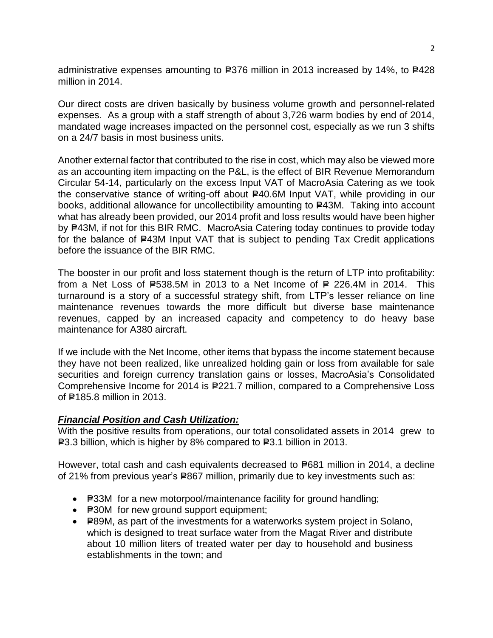administrative expenses amounting to  $E376$  million in 2013 increased by 14%, to  $E428$ million in 2014.

Our direct costs are driven basically by business volume growth and personnel-related expenses. As a group with a staff strength of about 3,726 warm bodies by end of 2014, mandated wage increases impacted on the personnel cost, especially as we run 3 shifts on a 24/7 basis in most business units.

Another external factor that contributed to the rise in cost, which may also be viewed more as an accounting item impacting on the P&L, is the effect of BIR Revenue Memorandum Circular 54-14, particularly on the excess Input VAT of MacroAsia Catering as we took the conservative stance of writing-off about P40.6M Input VAT, while providing in our books, additional allowance for uncollectibility amounting to P43M. Taking into account what has already been provided, our 2014 profit and loss results would have been higher by P43M, if not for this BIR RMC. MacroAsia Catering today continues to provide today for the balance of P43M Input VAT that is subject to pending Tax Credit applications before the issuance of the BIR RMC.

The booster in our profit and loss statement though is the return of LTP into profitability: from a Net Loss of P538.5M in 2013 to a Net Income of P 226.4M in 2014. This turnaround is a story of a successful strategy shift, from LTP's lesser reliance on line maintenance revenues towards the more difficult but diverse base maintenance revenues, capped by an increased capacity and competency to do heavy base maintenance for A380 aircraft.

If we include with the Net Income, other items that bypass the income statement because they have not been realized, like unrealized holding gain or loss from available for sale securities and foreign currency translation gains or losses, MacroAsia's Consolidated Comprehensive Income for 2014 is P221.7 million, compared to a Comprehensive Loss of P<sub>185.8</sub> million in 2013.

# *Financial Position and Cash Utilization:*

With the positive results from operations, our total consolidated assets in 2014 grew to P3.3 billion, which is higher by 8% compared to P3.1 billion in 2013.

However, total cash and cash equivalents decreased to P681 million in 2014, a decline of 21% from previous year's P867 million, primarily due to key investments such as:

- P33M for a new motorpool/maintenance facility for ground handling;
- P30M for new ground support equipment;
- P89M, as part of the investments for a waterworks system project in Solano, which is designed to treat surface water from the Magat River and distribute about 10 million liters of treated water per day to household and business establishments in the town; and